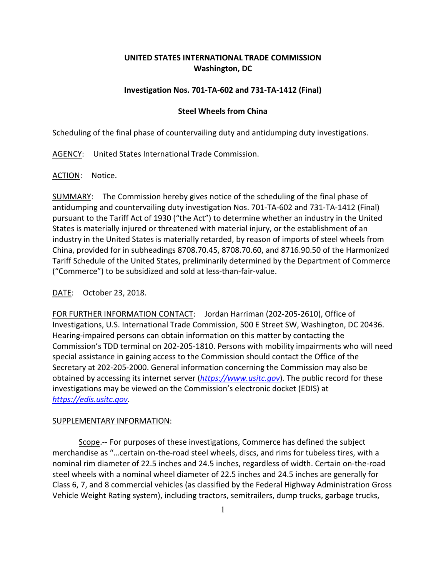# **UNITED STATES INTERNATIONAL TRADE COMMISSION Washington, DC**

## **Investigation Nos. 701-TA-602 and 731-TA-1412 (Final)**

## **Steel Wheels from China**

Scheduling of the final phase of countervailing duty and antidumping duty investigations.

AGENCY: United States International Trade Commission.

ACTION: Notice.

SUMMARY: The Commission hereby gives notice of the scheduling of the final phase of antidumping and countervailing duty investigation Nos. 701-TA-602 and 731-TA-1412 (Final) pursuant to the Tariff Act of 1930 ("the Act") to determine whether an industry in the United States is materially injured or threatened with material injury, or the establishment of an industry in the United States is materially retarded, by reason of imports of steel wheels from China, provided for in subheadings 8708.70.45, 8708.70.60, and 8716.90.50 of the Harmonized Tariff Schedule of the United States, preliminarily determined by the Department of Commerce ("Commerce") to be subsidized and sold at less-than-fair-value.

### DATE: October 23, 2018.

FOR FURTHER INFORMATION CONTACT: Jordan Harriman (202-205-2610), Office of Investigations, U.S. International Trade Commission, 500 E Street SW, Washington, DC 20436. Hearing-impaired persons can obtain information on this matter by contacting the Commission's TDD terminal on 202-205-1810. Persons with mobility impairments who will need special assistance in gaining access to the Commission should contact the Office of the Secretary at 202-205-2000. General information concerning the Commission may also be obtained by accessing its internet server (*[https://www.usitc.gov](https://www.usitc.gov/)*). The public record for these investigations may be viewed on the Commission's electronic docket (EDIS) at *[https://edis.usitc.gov](https://edis.usitc.gov/)*.

### SUPPLEMENTARY INFORMATION:

Scope.-- For purposes of these investigations, Commerce has defined the subject merchandise as "…certain on-the-road steel wheels, discs, and rims for tubeless tires, with a nominal rim diameter of 22.5 inches and 24.5 inches, regardless of width. Certain on-the-road steel wheels with a nominal wheel diameter of 22.5 inches and 24.5 inches are generally for Class 6, 7, and 8 commercial vehicles (as classified by the Federal Highway Administration Gross Vehicle Weight Rating system), including tractors, semitrailers, dump trucks, garbage trucks,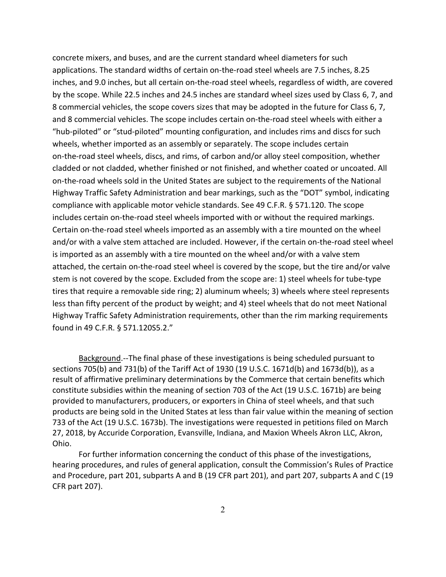concrete mixers, and buses, and are the current standard wheel diameters for such applications. The standard widths of certain on-the-road steel wheels are 7.5 inches, 8.25 inches, and 9.0 inches, but all certain on-the-road steel wheels, regardless of width, are covered by the scope. While 22.5 inches and 24.5 inches are standard wheel sizes used by Class 6, 7, and 8 commercial vehicles, the scope covers sizes that may be adopted in the future for Class 6, 7, and 8 commercial vehicles. The scope includes certain on-the-road steel wheels with either a "hub-piloted" or "stud-piloted" mounting configuration, and includes rims and discs for such wheels, whether imported as an assembly or separately. The scope includes certain on-the-road steel wheels, discs, and rims, of carbon and/or alloy steel composition, whether cladded or not cladded, whether finished or not finished, and whether coated or uncoated. All on-the-road wheels sold in the United States are subject to the requirements of the National Highway Traffic Safety Administration and bear markings, such as the "DOT" symbol, indicating compliance with applicable motor vehicle standards. See 49 C.F.R. § 571.120. The scope includes certain on-the-road steel wheels imported with or without the required markings. Certain on-the-road steel wheels imported as an assembly with a tire mounted on the wheel and/or with a valve stem attached are included. However, if the certain on-the-road steel wheel is imported as an assembly with a tire mounted on the wheel and/or with a valve stem attached, the certain on-the-road steel wheel is covered by the scope, but the tire and/or valve stem is not covered by the scope. Excluded from the scope are: 1) steel wheels for tube-type tires that require a removable side ring; 2) aluminum wheels; 3) wheels where steel represents less than fifty percent of the product by weight; and 4) steel wheels that do not meet National Highway Traffic Safety Administration requirements, other than the rim marking requirements found in 49 C.F.R. § 571.120S5.2."

Background.--The final phase of these investigations is being scheduled pursuant to sections 705(b) and 731(b) of the Tariff Act of 1930 (19 U.S.C. 1671d(b) and 1673d(b)), as a result of affirmative preliminary determinations by the Commerce that certain benefits which constitute subsidies within the meaning of section 703 of the Act (19 U.S.C. 1671b) are being provided to manufacturers, producers, or exporters in China of steel wheels, and that such products are being sold in the United States at less than fair value within the meaning of section 733 of the Act (19 U.S.C. 1673b). The investigations were requested in petitions filed on March 27, 2018, by Accuride Corporation, Evansville, Indiana, and Maxion Wheels Akron LLC, Akron, Ohio.

For further information concerning the conduct of this phase of the investigations, hearing procedures, and rules of general application, consult the Commission's Rules of Practice and Procedure, part 201, subparts A and B (19 CFR part 201), and part 207, subparts A and C (19 CFR part 207).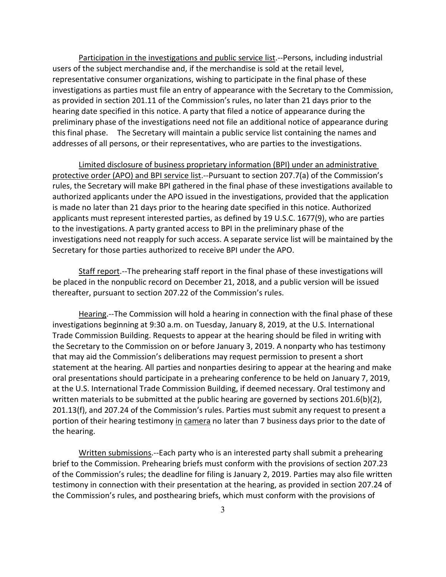Participation in the investigations and public service list.--Persons, including industrial users of the subject merchandise and, if the merchandise is sold at the retail level, representative consumer organizations, wishing to participate in the final phase of these investigations as parties must file an entry of appearance with the Secretary to the Commission, as provided in section 201.11 of the Commission's rules, no later than 21 days prior to the hearing date specified in this notice. A party that filed a notice of appearance during the preliminary phase of the investigations need not file an additional notice of appearance during this final phase. The Secretary will maintain a public service list containing the names and addresses of all persons, or their representatives, who are parties to the investigations.

Limited disclosure of business proprietary information (BPI) under an administrative protective order (APO) and BPI service list.--Pursuant to section 207.7(a) of the Commission's rules, the Secretary will make BPI gathered in the final phase of these investigations available to authorized applicants under the APO issued in the investigations, provided that the application is made no later than 21 days prior to the hearing date specified in this notice. Authorized applicants must represent interested parties, as defined by 19 U.S.C. 1677(9), who are parties to the investigations. A party granted access to BPI in the preliminary phase of the investigations need not reapply for such access. A separate service list will be maintained by the Secretary for those parties authorized to receive BPI under the APO.

Staff report.--The prehearing staff report in the final phase of these investigations will be placed in the nonpublic record on December 21, 2018, and a public version will be issued thereafter, pursuant to section 207.22 of the Commission's rules.

Hearing.--The Commission will hold a hearing in connection with the final phase of these investigations beginning at 9:30 a.m. on Tuesday, January 8, 2019, at the U.S. International Trade Commission Building. Requests to appear at the hearing should be filed in writing with the Secretary to the Commission on or before January 3, 2019. A nonparty who has testimony that may aid the Commission's deliberations may request permission to present a short statement at the hearing. All parties and nonparties desiring to appear at the hearing and make oral presentations should participate in a prehearing conference to be held on January 7, 2019, at the U.S. International Trade Commission Building, if deemed necessary. Oral testimony and written materials to be submitted at the public hearing are governed by sections 201.6(b)(2), 201.13(f), and 207.24 of the Commission's rules. Parties must submit any request to present a portion of their hearing testimony in camera no later than 7 business days prior to the date of the hearing.

Written submissions.--Each party who is an interested party shall submit a prehearing brief to the Commission. Prehearing briefs must conform with the provisions of section 207.23 of the Commission's rules; the deadline for filing is January 2, 2019. Parties may also file written testimony in connection with their presentation at the hearing, as provided in section 207.24 of the Commission's rules, and posthearing briefs, which must conform with the provisions of